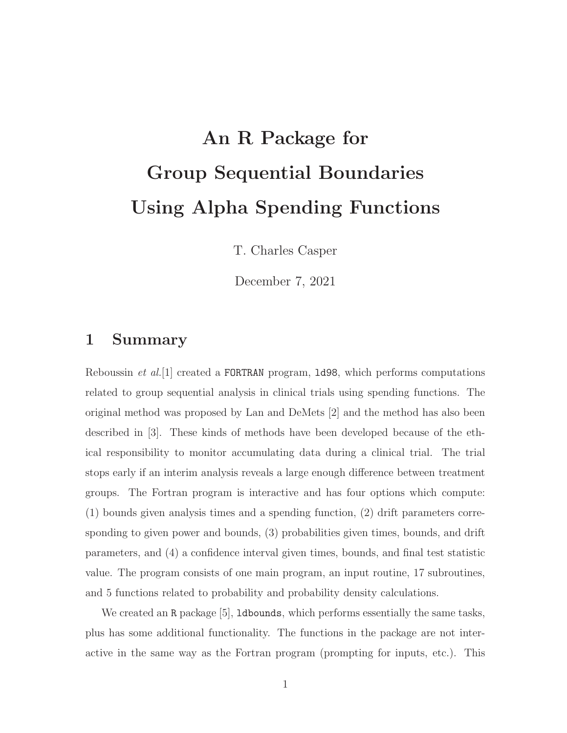# An R Package for Group Sequential Boundaries Using Alpha Spending Functions

T. Charles Casper

December 7, 2021

# 1 Summary

Reboussin *et al.*[1] created a FORTRAN program, 1d98, which performs computations related to group sequential analysis in clinical trials using spending functions. The original method was proposed by Lan and DeMets [2] and the method has also been described in [3]. These kinds of methods have been developed because of the ethical responsibility to monitor accumulating data during a clinical trial. The trial stops early if an interim analysis reveals a large enough difference between treatment groups. The Fortran program is interactive and has four options which compute: (1) bounds given analysis times and a spending function, (2) drift parameters corresponding to given power and bounds, (3) probabilities given times, bounds, and drift parameters, and (4) a confidence interval given times, bounds, and final test statistic value. The program consists of one main program, an input routine, 17 subroutines, and 5 functions related to probability and probability density calculations.

We created an R package [5], **ldbounds**, which performs essentially the same tasks, plus has some additional functionality. The functions in the package are not interactive in the same way as the Fortran program (prompting for inputs, etc.). This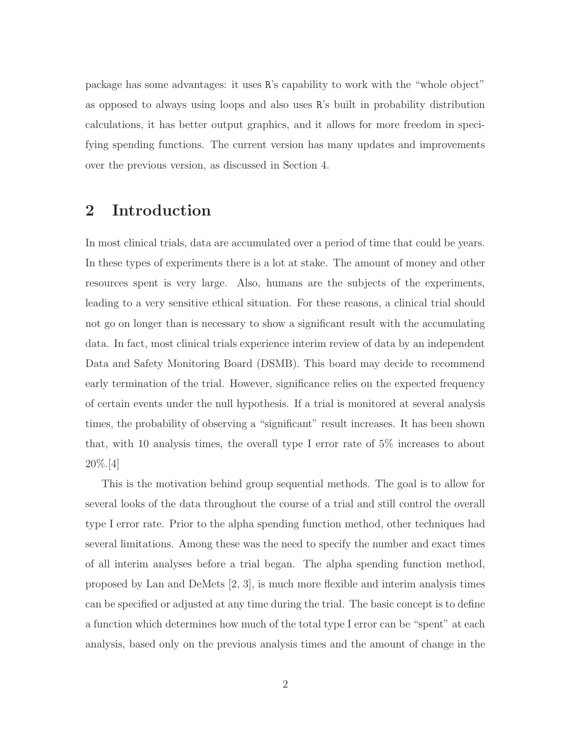package has some advantages: it uses R's capability to work with the "whole object" as opposed to always using loops and also uses R's built in probability distribution calculations, it has better output graphics, and it allows for more freedom in specifying spending functions. The current version has many updates and improvements over the previous version, as discussed in Section 4.

# 2 Introduction

In most clinical trials, data are accumulated over a period of time that could be years. In these types of experiments there is a lot at stake. The amount of money and other resources spent is very large. Also, humans are the subjects of the experiments, leading to a very sensitive ethical situation. For these reasons, a clinical trial should not go on longer than is necessary to show a significant result with the accumulating data. In fact, most clinical trials experience interim review of data by an independent Data and Safety Monitoring Board (DSMB). This board may decide to recommend early termination of the trial. However, significance relies on the expected frequency of certain events under the null hypothesis. If a trial is monitored at several analysis times, the probability of observing a "significant" result increases. It has been shown that, with 10 analysis times, the overall type I error rate of 5% increases to about 20%.[4]

This is the motivation behind group sequential methods. The goal is to allow for several looks of the data throughout the course of a trial and still control the overall type I error rate. Prior to the alpha spending function method, other techniques had several limitations. Among these was the need to specify the number and exact times of all interim analyses before a trial began. The alpha spending function method, proposed by Lan and DeMets [2, 3], is much more flexible and interim analysis times can be specified or adjusted at any time during the trial. The basic concept is to define a function which determines how much of the total type I error can be "spent" at each analysis, based only on the previous analysis times and the amount of change in the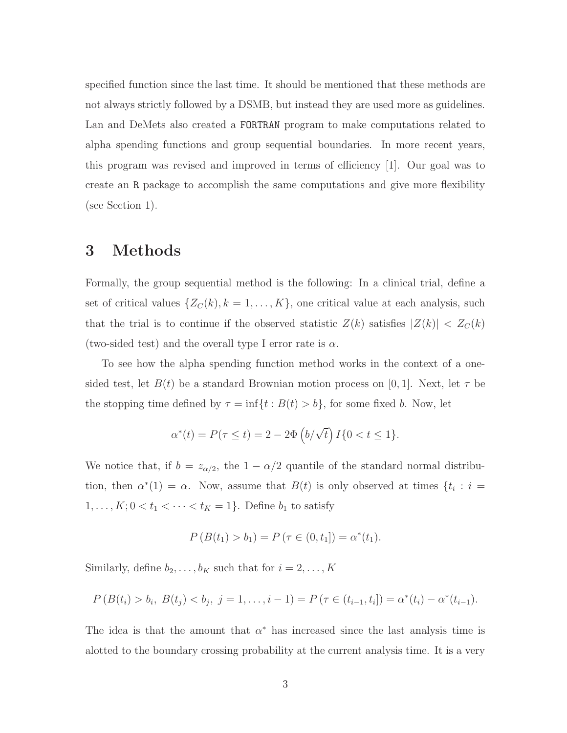specified function since the last time. It should be mentioned that these methods are not always strictly followed by a DSMB, but instead they are used more as guidelines. Lan and DeMets also created a FORTRAN program to make computations related to alpha spending functions and group sequential boundaries. In more recent years, this program was revised and improved in terms of efficiency [1]. Our goal was to create an R package to accomplish the same computations and give more flexibility (see Section 1).

## 3 Methods

Formally, the group sequential method is the following: In a clinical trial, define a set of critical values  $\{Z_C(k), k = 1, ..., K\}$ , one critical value at each analysis, such that the trial is to continue if the observed statistic  $Z(k)$  satisfies  $|Z(k)| < Z<sub>C</sub>(k)$ (two-sided test) and the overall type I error rate is  $\alpha$ .

To see how the alpha spending function method works in the context of a onesided test, let  $B(t)$  be a standard Brownian motion process on [0, 1]. Next, let  $\tau$  be the stopping time defined by  $\tau = \inf\{t : B(t) > b\}$ , for some fixed b. Now, let

$$
\alpha^*(t) = P(\tau \le t) = 2 - 2\Phi\left(b/\sqrt{t}\right)I\{0 < t \le 1\}.
$$

We notice that, if  $b = z_{\alpha/2}$ , the  $1 - \alpha/2$  quantile of the standard normal distribution, then  $\alpha^*(1) = \alpha$ . Now, assume that  $B(t)$  is only observed at times  $\{t_i : i =$  $1, \ldots, K; 0 < t_1 < \cdots < t_K = 1$ . Define  $b_1$  to satisfy

$$
P(B(t_1) > b_1) = P(\tau \in (0, t_1]) = \alpha^*(t_1).
$$

Similarly, define  $b_2, \ldots, b_K$  such that for  $i = 2, \ldots, K$ 

$$
P(B(t_i) > b_i, B(t_j) < b_j, j = 1,..., i-1) = P(\tau \in (t_{i-1}, t_i]) = \alpha^*(t_i) - \alpha^*(t_{i-1}).
$$

The idea is that the amount that  $\alpha^*$  has increased since the last analysis time is alotted to the boundary crossing probability at the current analysis time. It is a very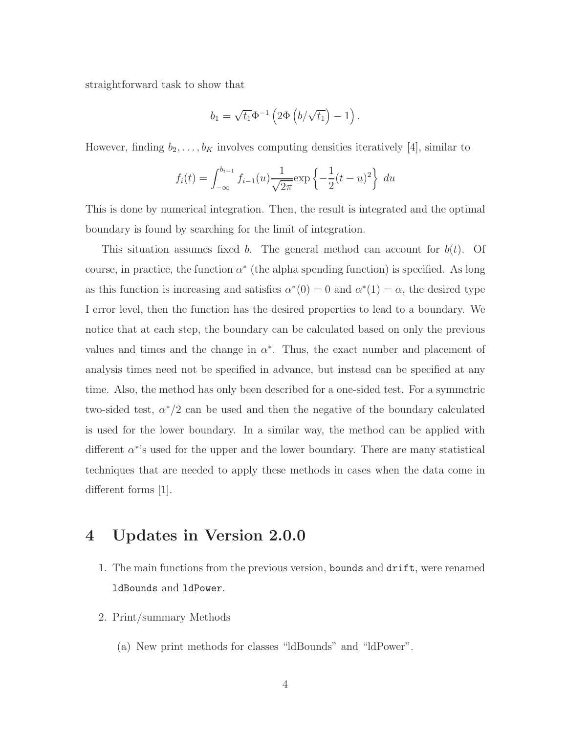straightforward task to show that

$$
b_1 = \sqrt{t_1} \Phi^{-1} \left( 2\Phi \left( b/\sqrt{t_1} \right) - 1 \right).
$$

However, finding  $b_2, \ldots, b_K$  involves computing densities iteratively [4], similar to

$$
f_i(t) = \int_{-\infty}^{b_{i-1}} f_{i-1}(u) \frac{1}{\sqrt{2\pi}} \exp\left\{-\frac{1}{2}(t-u)^2\right\} du
$$

This is done by numerical integration. Then, the result is integrated and the optimal boundary is found by searching for the limit of integration.

This situation assumes fixed b. The general method can account for  $b(t)$ . Of course, in practice, the function  $\alpha^*$  (the alpha spending function) is specified. As long as this function is increasing and satisfies  $\alpha^*(0) = 0$  and  $\alpha^*(1) = \alpha$ , the desired type I error level, then the function has the desired properties to lead to a boundary. We notice that at each step, the boundary can be calculated based on only the previous values and times and the change in  $\alpha^*$ . Thus, the exact number and placement of analysis times need not be specified in advance, but instead can be specified at any time. Also, the method has only been described for a one-sided test. For a symmetric two-sided test,  $\alpha^*/2$  can be used and then the negative of the boundary calculated is used for the lower boundary. In a similar way, the method can be applied with different  $\alpha^*$ 's used for the upper and the lower boundary. There are many statistical techniques that are needed to apply these methods in cases when the data come in different forms  $|1|$ .

## 4 Updates in Version 2.0.0

- 1. The main functions from the previous version, bounds and drift, were renamed ldBounds and ldPower.
- 2. Print/summary Methods
	- (a) New print methods for classes "ldBounds" and "ldPower".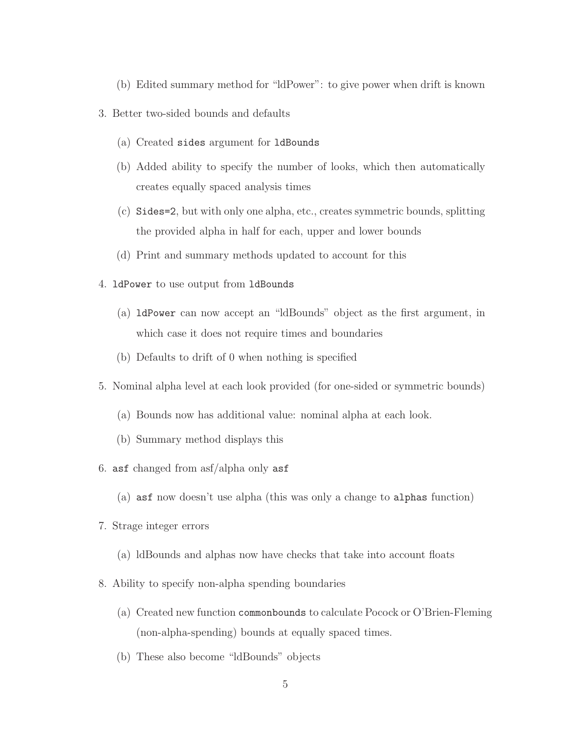- (b) Edited summary method for "ldPower": to give power when drift is known
- 3. Better two-sided bounds and defaults
	- (a) Created sides argument for ldBounds
	- (b) Added ability to specify the number of looks, which then automatically creates equally spaced analysis times
	- (c) Sides=2, but with only one alpha, etc., creates symmetric bounds, splitting the provided alpha in half for each, upper and lower bounds
	- (d) Print and summary methods updated to account for this
- 4. ldPower to use output from ldBounds
	- (a) ldPower can now accept an "ldBounds" object as the first argument, in which case it does not require times and boundaries
	- (b) Defaults to drift of 0 when nothing is specified
- 5. Nominal alpha level at each look provided (for one-sided or symmetric bounds)
	- (a) Bounds now has additional value: nominal alpha at each look.
	- (b) Summary method displays this
- 6. asf changed from asf/alpha only asf
	- (a) asf now doesn't use alpha (this was only a change to alphas function)
- 7. Strage integer errors
	- (a) ldBounds and alphas now have checks that take into account floats
- 8. Ability to specify non-alpha spending boundaries
	- (a) Created new function commonbounds to calculate Pocock or O'Brien-Fleming (non-alpha-spending) bounds at equally spaced times.
	- (b) These also become "ldBounds" objects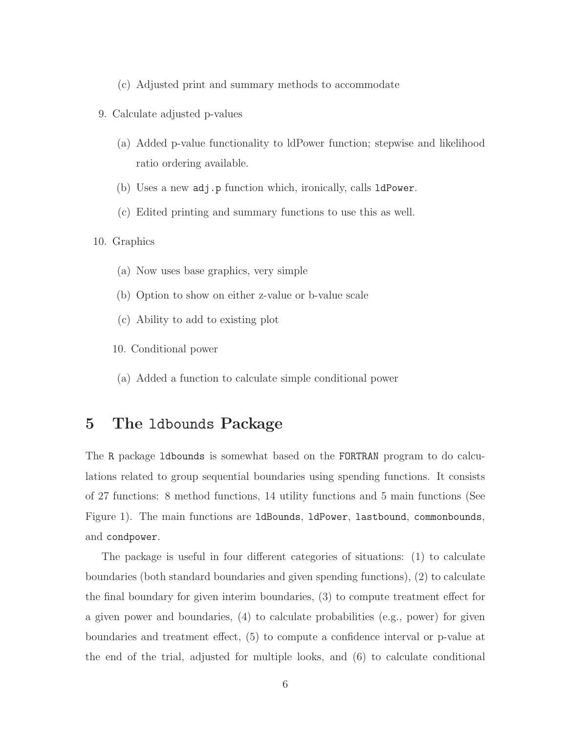- (c) Adjusted print and summary methods to accommodate
- 9. Calculate adjusted p-values
	- (a) Added p-value functionality to ldPower function; stepwise and likelihood ratio ordering available.
	- (b) Uses a new adj.p function which, ironically, calls ldPower.
	- (c) Edited printing and summary functions to use this as well.
- 10. Graphics
	- (a) Now uses base graphics, very simple
	- (b) Option to show on either z-value or b-value scale
	- (c) Ability to add to existing plot
	- 10. Conditional power
	- (a) Added a function to calculate simple conditional power

# 5 The ldbounds Package

The R package ldbounds is somewhat based on the FORTRAN program to do calculations related to group sequential boundaries using spending functions. It consists of 27 functions: 8 method functions, 14 utility functions and 5 main functions (See Figure 1). The main functions are ldBounds, ldPower, lastbound, commonbounds, and condpower.

The package is useful in four different categories of situations: (1) to calculate boundaries (both standard boundaries and given spending functions), (2) to calculate the final boundary for given interim boundaries, (3) to compute treatment effect for a given power and boundaries, (4) to calculate probabilities (e.g., power) for given boundaries and treatment effect, (5) to compute a confidence interval or p-value at the end of the trial, adjusted for multiple looks, and (6) to calculate conditional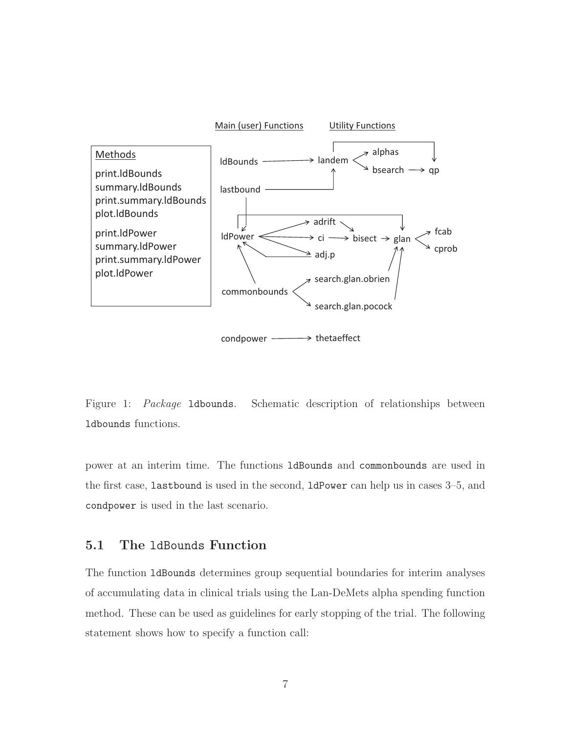

Figure 1: Package ldbounds. Schematic description of relationships between ldbounds functions.

power at an interim time. The functions ldBounds and commonbounds are used in the first case, lastbound is used in the second, ldPower can help us in cases 3–5, and condpower is used in the last scenario.

#### 5.1 The ldBounds Function

The function ldBounds determines group sequential boundaries for interim analyses of accumulating data in clinical trials using the Lan-DeMets alpha spending function method. These can be used as guidelines for early stopping of the trial. The following statement shows how to specify a function call: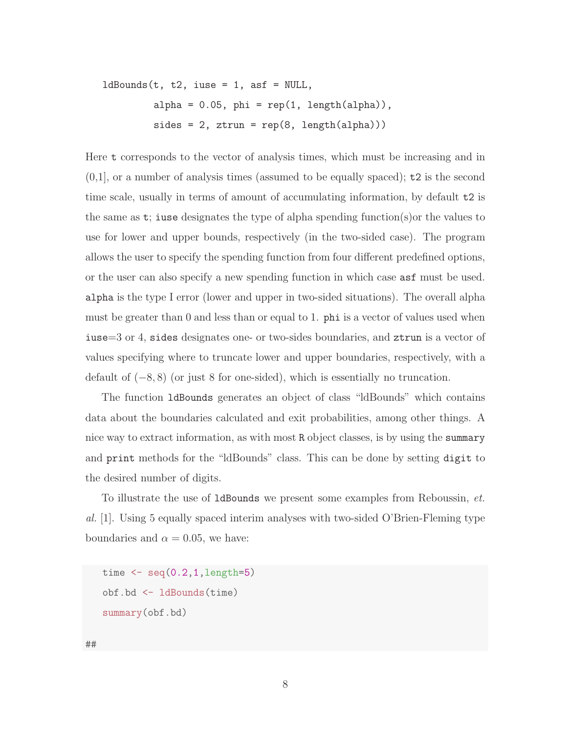$ldBounds(t, t2, iuse = 1, asf = NULL,$ alpha =  $0.05$ , phi =  $rep(1, length(alpha))$ ,  $sides = 2, ztrun = rep(8, length(alpha)))$ 

Here t corresponds to the vector of analysis times, which must be increasing and in  $(0,1]$ , or a number of analysis times (assumed to be equally spaced);  $t2$  is the second time scale, usually in terms of amount of accumulating information, by default t2 is the same as  $t$ ; iuse designates the type of alpha spending function(s) or the values to use for lower and upper bounds, respectively (in the two-sided case). The program allows the user to specify the spending function from four different predefined options, or the user can also specify a new spending function in which case asf must be used. alpha is the type I error (lower and upper in two-sided situations). The overall alpha must be greater than 0 and less than or equal to 1. phi is a vector of values used when iuse=3 or 4, sides designates one- or two-sides boundaries, and ztrun is a vector of values specifying where to truncate lower and upper boundaries, respectively, with a default of (−8, 8) (or just 8 for one-sided), which is essentially no truncation.

The function ldBounds generates an object of class "ldBounds" which contains data about the boundaries calculated and exit probabilities, among other things. A nice way to extract information, as with most R object classes, is by using the summary and print methods for the "ldBounds" class. This can be done by setting digit to the desired number of digits.

To illustrate the use of ldBounds we present some examples from Reboussin, et. al. [1]. Using 5 equally spaced interim analyses with two-sided O'Brien-Fleming type boundaries and  $\alpha = 0.05$ , we have:

```
time \leq seq(0.2, 1, \text{length=5})obf.bd <- ldBounds(time)
summary(obf.bd)
```
##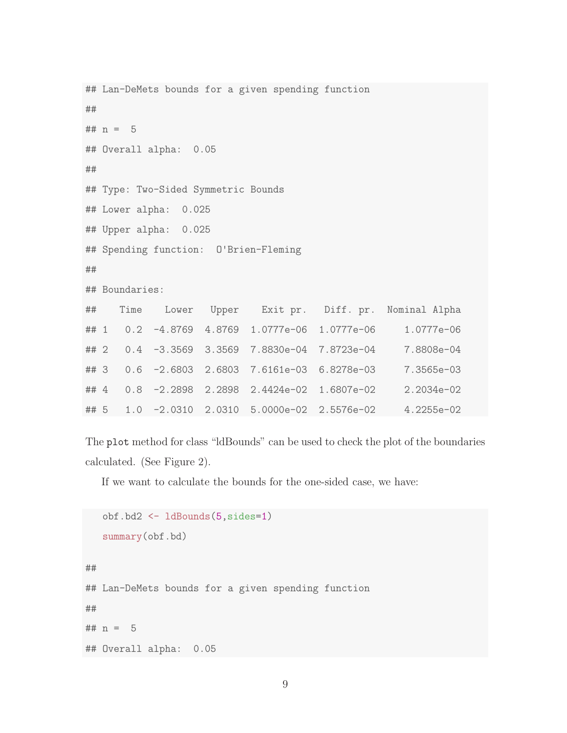```
## Lan-DeMets bounds for a given spending function
##
## n = 5## Overall alpha: 0.05
##
## Type: Two-Sided Symmetric Bounds
## Lower alpha: 0.025
## Upper alpha: 0.025
## Spending function: O'Brien-Fleming
##
## Boundaries:
## Time Lower Upper Exit pr. Diff. pr. Nominal Alpha
## 1 0.2 -4.8769 4.8769 1.0777e-06 1.0777e-06 1.0777e-06
## 2 0.4 -3.3569 3.3569 7.8830e-04 7.8723e-04 7.8808e-04
## 3 0.6 -2.6803 2.6803 7.6161e-03 6.8278e-03 7.3565e-03
## 4 0.8 -2.2898 2.2898 2.4424e-02 1.6807e-02 2.2034e-02
## 5 1.0 -2.0310 2.0310 5.0000e-02 2.5576e-02 4.2255e-02
```
The plot method for class "ldBounds" can be used to check the plot of the boundaries calculated. (See Figure 2).

If we want to calculate the bounds for the one-sided case, we have:

```
obf.bd2 <- ldBounds(5,sides=1)
  summary(obf.bd)
##
## Lan-DeMets bounds for a given spending function
##
## n = 5## Overall alpha: 0.05
```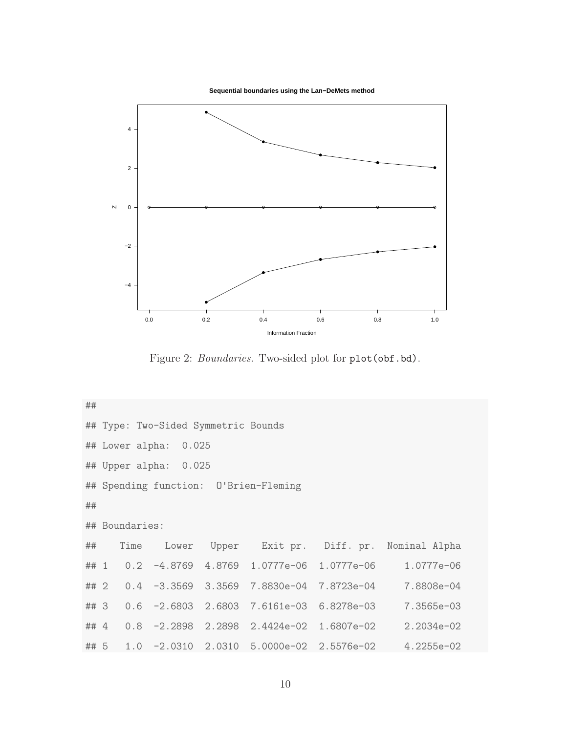**Sequential boundaries using the Lan−DeMets method**



Figure 2: Boundaries. Two-sided plot for plot(obf.bd).

## ## Type: Two-Sided Symmetric Bounds ## Lower alpha: 0.025 ## Upper alpha: 0.025 ## Spending function: O'Brien-Fleming ## ## Boundaries: ## Time Lower Upper Exit pr. Diff. pr. Nominal Alpha ## 1 0.2 -4.8769 4.8769 1.0777e-06 1.0777e-06 1.0777e-06 ## 2 0.4 -3.3569 3.3569 7.8830e-04 7.8723e-04 7.8808e-04 ## 3 0.6 -2.6803 2.6803 7.6161e-03 6.8278e-03 7.3565e-03 ## 4 0.8 -2.2898 2.2898 2.4424e-02 1.6807e-02 2.2034e-02 ## 5 1.0 -2.0310 2.0310 5.0000e-02 2.5576e-02 4.2255e-02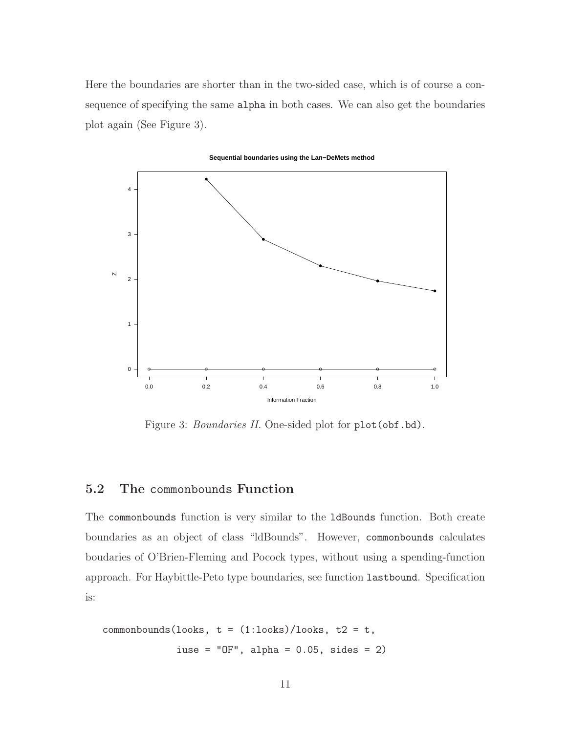Here the boundaries are shorter than in the two-sided case, which is of course a consequence of specifying the same alpha in both cases. We can also get the boundaries plot again (See Figure 3).



**Sequential boundaries using the Lan−DeMets method**

Figure 3: *Boundaries II*. One-sided plot for plot (obf.bd).

#### 5.2 The commonbounds Function

The commonbounds function is very similar to the ldBounds function. Both create boundaries as an object of class "ldBounds". However, commonbounds calculates boudaries of O'Brien-Fleming and Pocock types, without using a spending-function approach. For Haybittle-Peto type boundaries, see function lastbound. Specification is:

```
commonbounds(looks, t = (1:looks)/looks, t2 = t,
             iuse = "OF", alpha = 0.05, sides = 2)
```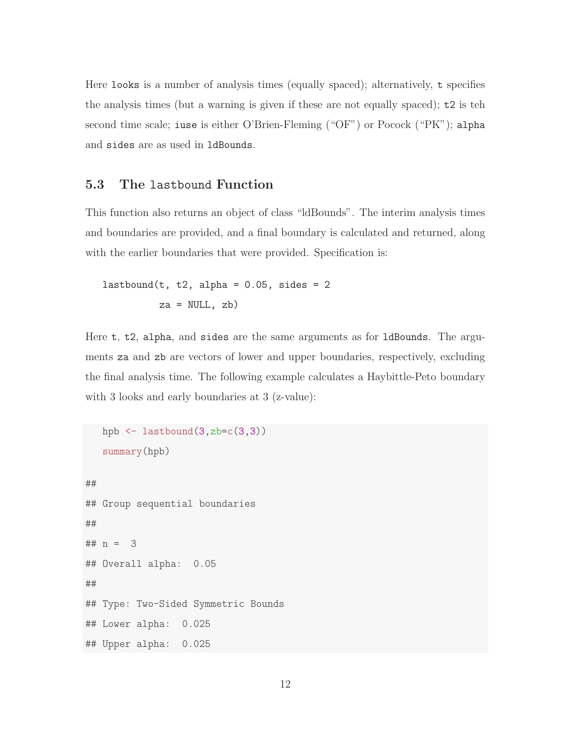Here looks is a number of analysis times (equally spaced); alternatively, t specifies the analysis times (but a warning is given if these are not equally spaced); t2 is teh second time scale; iuse is either O'Brien-Fleming ("OF") or Pocock ("PK"); alpha and sides are as used in ldBounds.

#### 5.3 The lastbound Function

This function also returns an object of class "ldBounds". The interim analysis times and boundaries are provided, and a final boundary is calculated and returned, along with the earlier boundaries that were provided. Specification is:

```
lastbound(t, t2, alpha = 0.05, sides = 2
         za = NULL, zb)
```
Here t, t2, alpha, and sides are the same arguments as for ldBounds. The arguments za and zb are vectors of lower and upper boundaries, respectively, excluding the final analysis time. The following example calculates a Haybittle-Peto boundary with 3 looks and early boundaries at 3 (z-value):

```
hpb \leq lastbound(3,zb=c(3,3))
   summary(hpb)
##
## Group sequential boundaries
##
## n = 3
## Overall alpha: 0.05
##
## Type: Two-Sided Symmetric Bounds
## Lower alpha: 0.025
## Upper alpha: 0.025
```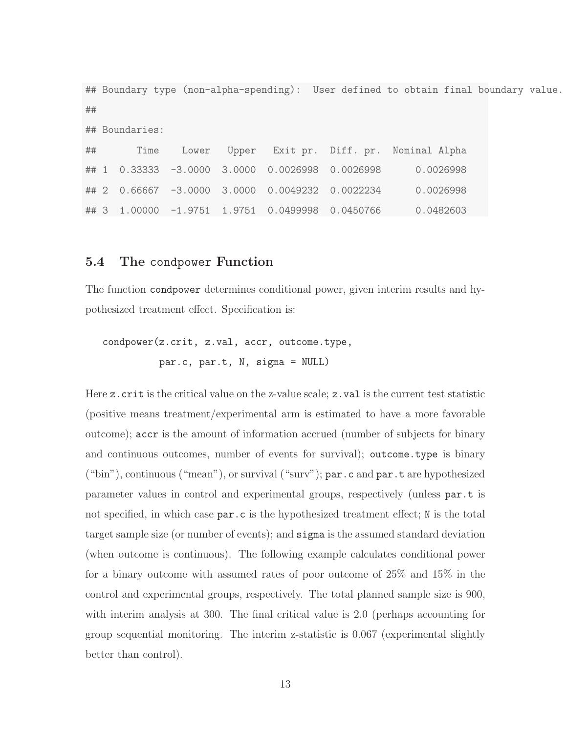## Boundary type (non-alpha-spending): User defined to obtain final boundary value. ## ## Boundaries: ## Time Lower Upper Exit pr. Diff. pr. Nominal Alpha ## 1 0.33333 -3.0000 3.0000 0.0026998 0.0026998 0.0026998 ## 2 0.66667 -3.0000 3.0000 0.0049232 0.0022234 0.0026998 ## 3 1.00000 -1.9751 1.9751 0.0499998 0.0450766 0.0482603

#### 5.4 The condpower Function

The function condpower determines conditional power, given interim results and hypothesized treatment effect. Specification is:

condpower(z.crit, z.val, accr, outcome.type, par.c, par.t, N, sigma = NULL)

Here z.crit is the critical value on the z-value scale; z.val is the current test statistic (positive means treatment/experimental arm is estimated to have a more favorable outcome); accr is the amount of information accrued (number of subjects for binary and continuous outcomes, number of events for survival); outcome.type is binary ("bin"), continuous ("mean"), or survival ("surv"); par.c and par.t are hypothesized parameter values in control and experimental groups, respectively (unless par.t is not specified, in which case  $par.c$  is the hypothesized treatment effect; N is the total target sample size (or number of events); and sigma is the assumed standard deviation (when outcome is continuous). The following example calculates conditional power for a binary outcome with assumed rates of poor outcome of 25% and 15% in the control and experimental groups, respectively. The total planned sample size is 900, with interim analysis at 300. The final critical value is 2.0 (perhaps accounting for group sequential monitoring. The interim z-statistic is 0.067 (experimental slightly better than control).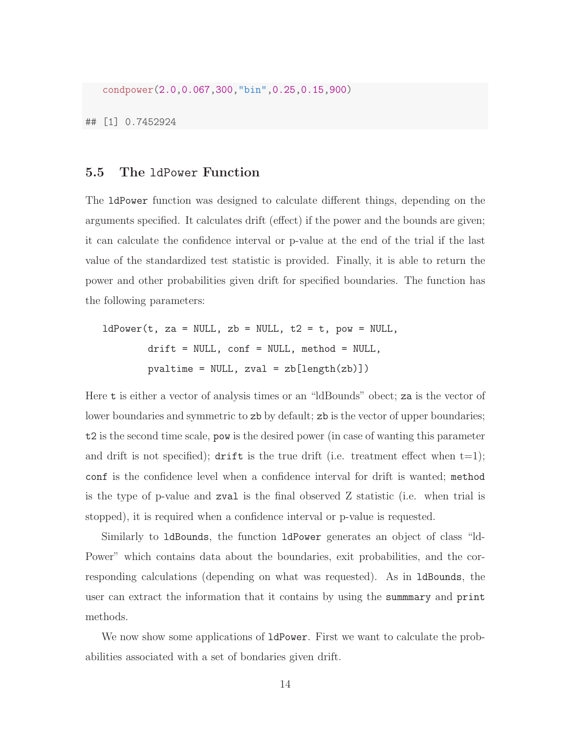condpower(2.0,0.067,300,"bin",0.25,0.15,900)

## [1] 0.7452924

#### 5.5 The ldPower Function

The ldPower function was designed to calculate different things, depending on the arguments specified. It calculates drift (effect) if the power and the bounds are given; it can calculate the confidence interval or p-value at the end of the trial if the last value of the standardized test statistic is provided. Finally, it is able to return the power and other probabilities given drift for specified boundaries. The function has the following parameters:

 $ldPower(t, za = NULL, zb = NULL, t2 = t, pow = NULL,$ drift = NULL, conf = NULL, method = NULL,  $pvaltime = NULL, zval = zb[length(zb)]$ 

Here t is either a vector of analysis times or an "ldBounds" obect; za is the vector of lower boundaries and symmetric to zb by default; zb is the vector of upper boundaries; t2 is the second time scale, pow is the desired power (in case of wanting this parameter and drift is not specified); drift is the true drift (i.e. treatment effect when  $t=1$ ); conf is the confidence level when a confidence interval for drift is wanted; method is the type of p-value and zval is the final observed Z statistic (i.e. when trial is stopped), it is required when a confidence interval or p-value is requested.

Similarly to ldBounds, the function ldPower generates an object of class "ld-Power" which contains data about the boundaries, exit probabilities, and the corresponding calculations (depending on what was requested). As in ldBounds, the user can extract the information that it contains by using the summmary and print methods.

We now show some applications of  $1d$ Power. First we want to calculate the probabilities associated with a set of bondaries given drift.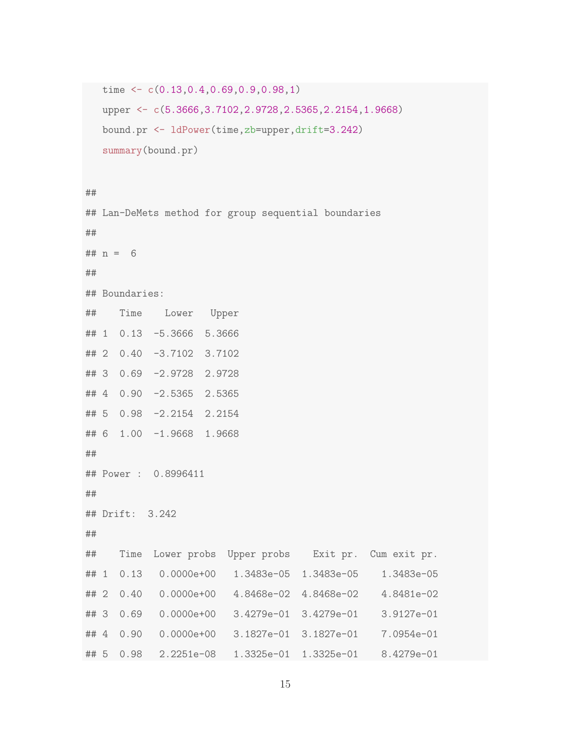```
time <- c(0.13,0.4,0.69,0.9,0.98,1)
upper <- c(5.3666,3.7102,2.9728,2.5365,2.2154,1.9668)
bound.pr <- ldPower(time,zb=upper,drift=3.242)
summary(bound.pr)
```

```
##
```
## Lan-DeMets method for group sequential boundaries ##  $## n = 6$ ## ## Boundaries: ## Time Lower Upper ## 1 0.13 -5.3666 5.3666 ## 2 0.40 -3.7102 3.7102 ## 3 0.69 -2.9728 2.9728 ## 4 0.90 -2.5365 2.5365 ## 5 0.98 -2.2154 2.2154 ## 6 1.00 -1.9668 1.9668 ## ## Power : 0.8996411 ## ## Drift: 3.242 ## ## Time Lower probs Upper probs Exit pr. Cum exit pr. ## 1 0.13 0.0000e+00 1.3483e-05 1.3483e-05 1.3483e-05 ## 2 0.40 0.0000e+00 4.8468e-02 4.8468e-02 4.8481e-02 ## 3 0.69 0.0000e+00 3.4279e-01 3.4279e-01 3.9127e-01 ## 4 0.90 0.0000e+00 3.1827e-01 3.1827e-01 7.0954e-01 ## 5 0.98 2.2251e-08 1.3325e-01 1.3325e-01 8.4279e-01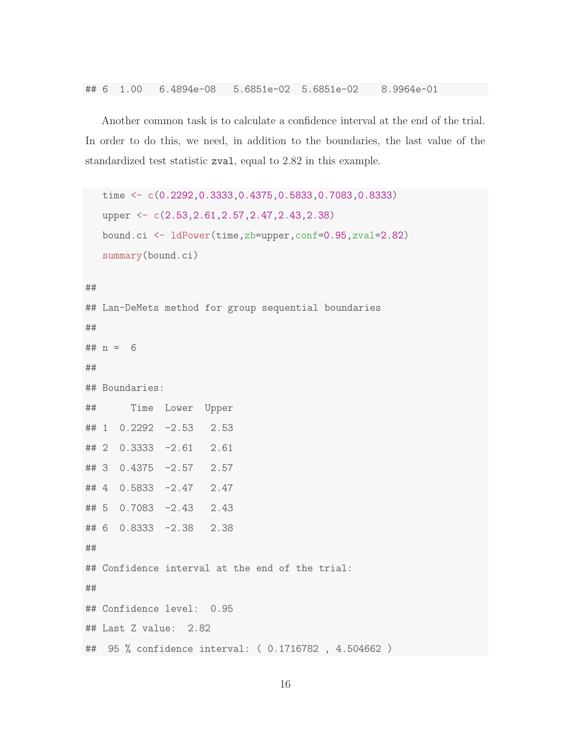Another common task is to calculate a confidence interval at the end of the trial. In order to do this, we need, in addition to the boundaries, the last value of the standardized test statistic zval, equal to 2.82 in this example.

```
time <- c(0.2292,0.3333,0.4375,0.5833,0.7083,0.8333)
  upper <- c(2.53,2.61,2.57,2.47,2.43,2.38)
  bound.ci <- ldPower(time,zb=upper,conf=0.95,zval=2.82)
  summary(bound.ci)
##
## Lan-DeMets method for group sequential boundaries
##
## n = 6##
## Boundaries:
## Time Lower Upper
## 1 0.2292 -2.53 2.53
## 2 0.3333 -2.61 2.61
## 3 0.4375 -2.57 2.57
## 4 0.5833 -2.47 2.47
## 5 0.7083 -2.43 2.43
## 6 0.8333 -2.38 2.38
##
## Confidence interval at the end of the trial:
##
## Confidence level: 0.95
## Last Z value: 2.82
## 95 % confidence interval: ( 0.1716782 , 4.504662 )
```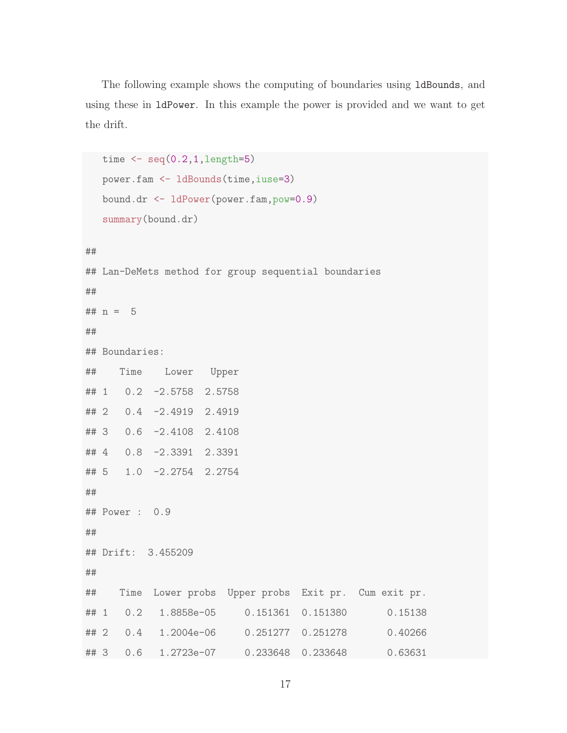The following example shows the computing of boundaries using ldBounds, and using these in ldPower. In this example the power is provided and we want to get the drift.

```
time \leq seq(0.2, 1, \text{length}=5)power.fam <- ldBounds(time,iuse=3)
  bound.dr <- ldPower(power.fam,pow=0.9)
  summary(bound.dr)
##
## Lan-DeMets method for group sequential boundaries
##
## n = 5##
## Boundaries:
## Time Lower Upper
## 1 0.2 -2.5758 2.5758
## 2 0.4 -2.4919 2.4919
## 3 0.6 -2.4108 2.4108
## 4 0.8 -2.3391 2.3391
## 5 1.0 -2.2754 2.2754
##
## Power : 0.9
##
## Drift: 3.455209
##
## Time Lower probs Upper probs Exit pr. Cum exit pr.
## 1 0.2 1.8858e-05 0.151361 0.151380 0.15138
## 2 0.4 1.2004e-06 0.251277 0.251278 0.40266
## 3 0.6 1.2723e-07 0.233648 0.233648 0.63631
```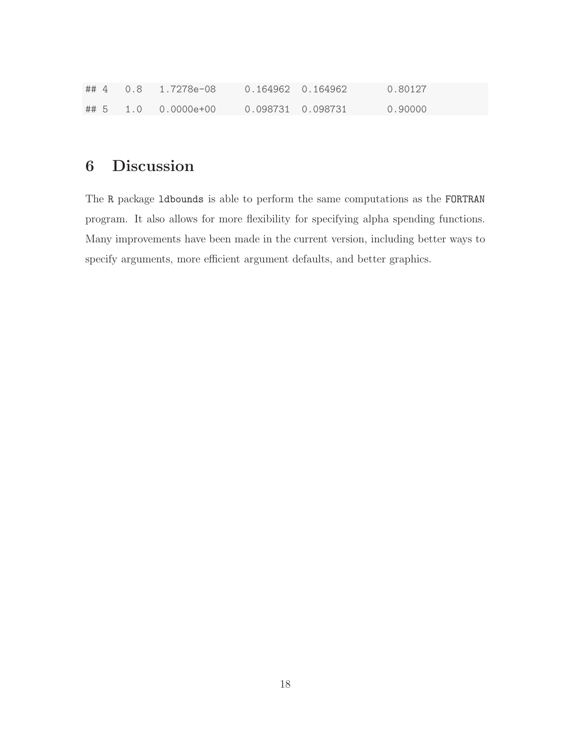|  | ##4 0.8 1.7278e-08  |  | 0.80127 |
|--|---------------------|--|---------|
|  | ## 5 1.0 0.0000e+00 |  | 0.90000 |

# 6 Discussion

The R package ldbounds is able to perform the same computations as the FORTRAN program. It also allows for more flexibility for specifying alpha spending functions. Many improvements have been made in the current version, including better ways to specify arguments, more efficient argument defaults, and better graphics.